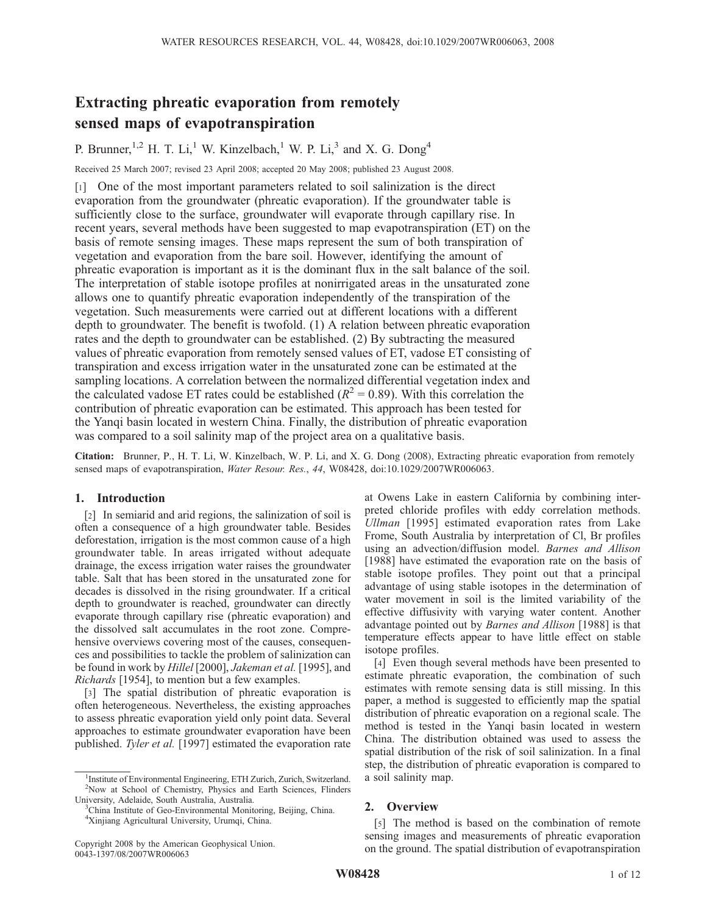# Extracting phreatic evaporation from remotely sensed maps of evapotranspiration

P. Brunner, <sup>1,2</sup> H. T. Li,<sup>1</sup> W. Kinzelbach,<sup>1</sup> W. P. Li,<sup>3</sup> and X. G. Dong<sup>4</sup>

Received 25 March 2007; revised 23 April 2008; accepted 20 May 2008; published 23 August 2008.

[1] One of the most important parameters related to soil salinization is the direct evaporation from the groundwater (phreatic evaporation). If the groundwater table is sufficiently close to the surface, groundwater will evaporate through capillary rise. In recent years, several methods have been suggested to map evapotranspiration (ET) on the basis of remote sensing images. These maps represent the sum of both transpiration of vegetation and evaporation from the bare soil. However, identifying the amount of phreatic evaporation is important as it is the dominant flux in the salt balance of the soil. The interpretation of stable isotope profiles at nonirrigated areas in the unsaturated zone allows one to quantify phreatic evaporation independently of the transpiration of the vegetation. Such measurements were carried out at different locations with a different depth to groundwater. The benefit is twofold. (1) A relation between phreatic evaporation rates and the depth to groundwater can be established. (2) By subtracting the measured values of phreatic evaporation from remotely sensed values of ET, vadose ET consisting of transpiration and excess irrigation water in the unsaturated zone can be estimated at the sampling locations. A correlation between the normalized differential vegetation index and the calculated vadose ET rates could be established ( $R^2 = 0.89$ ). With this correlation the contribution of phreatic evaporation can be estimated. This approach has been tested for the Yanqi basin located in western China. Finally, the distribution of phreatic evaporation was compared to a soil salinity map of the project area on a qualitative basis.

Citation: Brunner, P., H. T. Li, W. Kinzelbach, W. P. Li, and X. G. Dong (2008), Extracting phreatic evaporation from remotely sensed maps of evapotranspiration, Water Resour. Res., 44, W08428, doi:10.1029/2007WR006063.

# 1. Introduction

[2] In semiarid and arid regions, the salinization of soil is often a consequence of a high groundwater table. Besides deforestation, irrigation is the most common cause of a high groundwater table. In areas irrigated without adequate drainage, the excess irrigation water raises the groundwater table. Salt that has been stored in the unsaturated zone for decades is dissolved in the rising groundwater. If a critical depth to groundwater is reached, groundwater can directly evaporate through capillary rise (phreatic evaporation) and the dissolved salt accumulates in the root zone. Comprehensive overviews covering most of the causes, consequences and possibilities to tackle the problem of salinization can be found in work by *Hillel* [2000], *Jakeman et al.* [1995], and Richards [1954], to mention but a few examples.

[3] The spatial distribution of phreatic evaporation is often heterogeneous. Nevertheless, the existing approaches to assess phreatic evaporation yield only point data. Several approaches to estimate groundwater evaporation have been published. Tyler et al. [1997] estimated the evaporation rate at Owens Lake in eastern California by combining interpreted chloride profiles with eddy correlation methods. Ullman [1995] estimated evaporation rates from Lake Frome, South Australia by interpretation of Cl, Br profiles using an advection/diffusion model. Barnes and Allison [1988] have estimated the evaporation rate on the basis of stable isotope profiles. They point out that a principal advantage of using stable isotopes in the determination of water movement in soil is the limited variability of the effective diffusivity with varying water content. Another advantage pointed out by Barnes and Allison [1988] is that temperature effects appear to have little effect on stable isotope profiles.

[4] Even though several methods have been presented to estimate phreatic evaporation, the combination of such estimates with remote sensing data is still missing. In this paper, a method is suggested to efficiently map the spatial distribution of phreatic evaporation on a regional scale. The method is tested in the Yanqi basin located in western China. The distribution obtained was used to assess the spatial distribution of the risk of soil salinization. In a final step, the distribution of phreatic evaporation is compared to a soil salinity map.

# 2. Overview

[5] The method is based on the combination of remote sensing images and measurements of phreatic evaporation on the ground. The spatial distribution of evapotranspiration

<sup>&</sup>lt;sup>1</sup>Institute of Environmental Engineering, ETH Zurich, Zurich, Switzerland. 2 Now at School of Chemistry, Physics and Earth Sciences, Flinders University, Adelaide, South Australia, Australia. <sup>3</sup>

<sup>&</sup>lt;sup>3</sup>China Institute of Geo-Environmental Monitoring, Beijing, China. 4 Xinjiang Agricultural University, Urumqi, China.

Copyright 2008 by the American Geophysical Union. 0043-1397/08/2007WR006063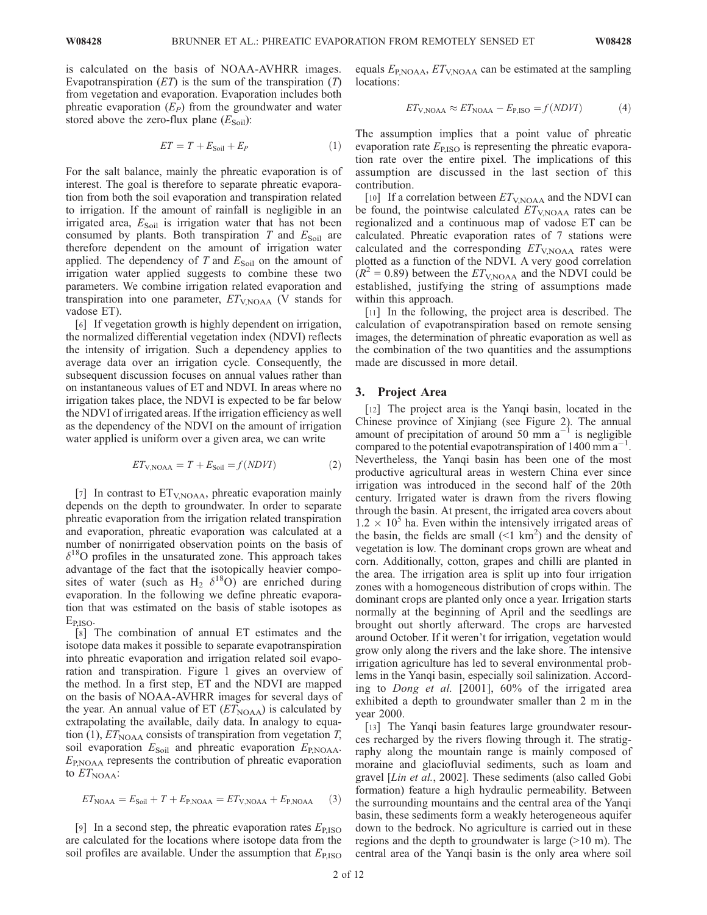is calculated on the basis of NOAA-AVHRR images. Evapotranspiration  $(ET)$  is the sum of the transpiration  $(T)$ from vegetation and evaporation. Evaporation includes both phreatic evaporation  $(E_P)$  from the groundwater and water stored above the zero-flux plane  $(E_{\text{Soil}})$ :

$$
ET = T + E_{\text{Soil}} + E_P \tag{1}
$$

For the salt balance, mainly the phreatic evaporation is of interest. The goal is therefore to separate phreatic evaporation from both the soil evaporation and transpiration related to irrigation. If the amount of rainfall is negligible in an irrigated area,  $E_{\text{Soil}}$  is irrigation water that has not been consumed by plants. Both transpiration  $T$  and  $E_{\text{Soil}}$  are therefore dependent on the amount of irrigation water applied. The dependency of  $T$  and  $E_{\text{Soil}}$  on the amount of irrigation water applied suggests to combine these two parameters. We combine irrigation related evaporation and transpiration into one parameter,  $ET_{V,NOAA}$  (V stands for vadose ET).

[6] If vegetation growth is highly dependent on irrigation, the normalized differential vegetation index (NDVI) reflects the intensity of irrigation. Such a dependency applies to average data over an irrigation cycle. Consequently, the subsequent discussion focuses on annual values rather than on instantaneous values of ET and NDVI. In areas where no irrigation takes place, the NDVI is expected to be far below the NDVI of irrigated areas. If the irrigation efficiency as well as the dependency of the NDVI on the amount of irrigation water applied is uniform over a given area, we can write

$$
ETV,NOAA = T + ESoil = f(NDVI)
$$
 (2)

[7] In contrast to  $ET<sub>V,NOAA</sub>$ , phreatic evaporation mainly depends on the depth to groundwater. In order to separate phreatic evaporation from the irrigation related transpiration and evaporation, phreatic evaporation was calculated at a number of nonirrigated observation points on the basis of  $\delta^{18}$ O profiles in the unsaturated zone. This approach takes advantage of the fact that the isotopically heavier composites of water (such as  $H_2$   $\delta^{18}O$ ) are enriched during evaporation. In the following we define phreatic evaporation that was estimated on the basis of stable isotopes as EP,ISO.

[8] The combination of annual ET estimates and the isotope data makes it possible to separate evapotranspiration into phreatic evaporation and irrigation related soil evaporation and transpiration. Figure 1 gives an overview of the method. In a first step, ET and the NDVI are mapped on the basis of NOAA-AVHRR images for several days of the year. An annual value of ET  $(ET<sub>NOAA</sub>)$  is calculated by extrapolating the available, daily data. In analogy to equation (1),  $ET_{\text{NOAA}}$  consists of transpiration from vegetation T, soil evaporation  $E_{\text{Soil}}$  and phreatic evaporation  $E_{\text{P,NOAA}}$ .  $E_{\rm P,NOAA}$  represents the contribution of phreatic evaporation to  $ET_{\text{NOAA}}$ :

$$
ETNOAA = ESoil + T + EP,NOAA = ETV,NOAA + EP,NOAA (3)
$$

[9] In a second step, the phreatic evaporation rates  $E_{\rm PISO}$ are calculated for the locations where isotope data from the soil profiles are available. Under the assumption that  $E_{\rm P,ISO}$  equals  $E_{P,NOAA}$ ,  $ET_{V,NOAA}$  can be estimated at the sampling locations:

$$
ETV,NOAA \approx ETNOAA - EP,ISO = f(NDVI)
$$
 (4)

The assumption implies that a point value of phreatic evaporation rate  $E_{\rm PISO}$  is representing the phreatic evaporation rate over the entire pixel. The implications of this assumption are discussed in the last section of this contribution.

[10] If a correlation between  $ET_{V,NOAA}$  and the NDVI can be found, the pointwise calculated  $ET<sub>V,NOAA</sub>$  rates can be regionalized and a continuous map of vadose ET can be calculated. Phreatic evaporation rates of 7 stations were calculated and the corresponding  $ET<sub>V,NOAA</sub>$  rates were plotted as a function of the NDVI. A very good correlation  $(R^2 = 0.89)$  between the  $ET_{V,NOAA}$  and the NDVI could be established, justifying the string of assumptions made within this approach.

[11] In the following, the project area is described. The calculation of evapotranspiration based on remote sensing images, the determination of phreatic evaporation as well as the combination of the two quantities and the assumptions made are discussed in more detail.

#### 3. Project Area

[12] The project area is the Yanqi basin, located in the Chinese province of Xinjiang (see Figure 2). The annual amount of precipitation of around 50 mm  $a^{-1}$  is negligible compared to the potential evapotranspiration of 1400 mm  $a^{-1}$ . Nevertheless, the Yanqi basin has been one of the most productive agricultural areas in western China ever since irrigation was introduced in the second half of the 20th century. Irrigated water is drawn from the rivers flowing through the basin. At present, the irrigated area covers about  $1.2 \times 10^5$  ha. Even within the intensively irrigated areas of the basin, the fields are small  $(\leq 1 \text{ km}^2)$  and the density of vegetation is low. The dominant crops grown are wheat and corn. Additionally, cotton, grapes and chilli are planted in the area. The irrigation area is split up into four irrigation zones with a homogeneous distribution of crops within. The dominant crops are planted only once a year. Irrigation starts normally at the beginning of April and the seedlings are brought out shortly afterward. The crops are harvested around October. If it weren't for irrigation, vegetation would grow only along the rivers and the lake shore. The intensive irrigation agriculture has led to several environmental problems in the Yanqi basin, especially soil salinization. According to Dong et al. [2001], 60% of the irrigated area exhibited a depth to groundwater smaller than 2 m in the year 2000.

[13] The Yanqi basin features large groundwater resources recharged by the rivers flowing through it. The stratigraphy along the mountain range is mainly composed of moraine and glaciofluvial sediments, such as loam and gravel [Lin et al., 2002]. These sediments (also called Gobi formation) feature a high hydraulic permeability. Between the surrounding mountains and the central area of the Yanqi basin, these sediments form a weakly heterogeneous aquifer down to the bedrock. No agriculture is carried out in these regions and the depth to groundwater is large (>10 m). The central area of the Yanqi basin is the only area where soil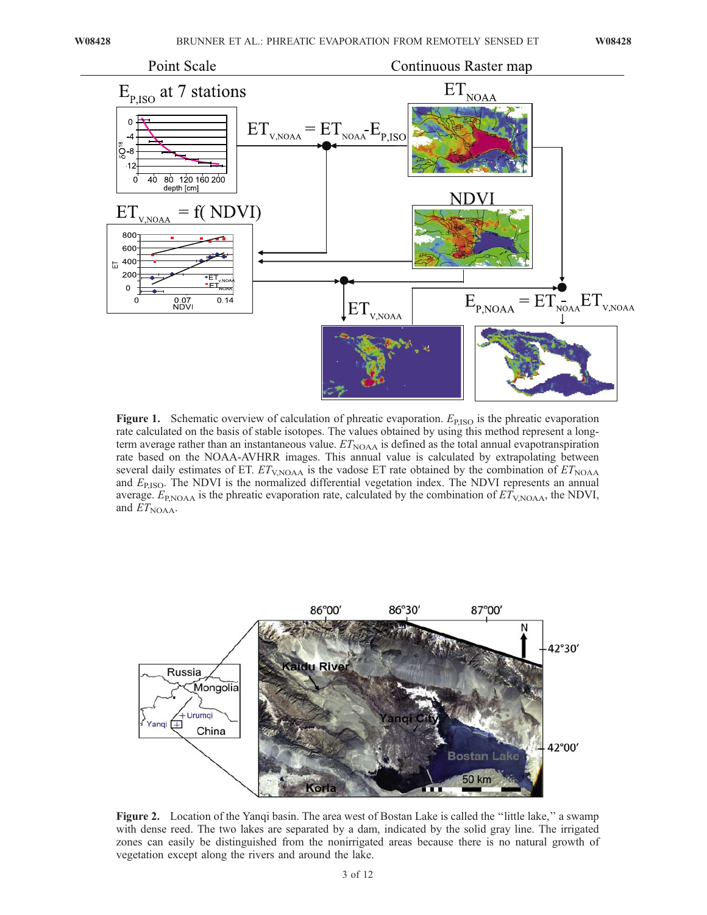

**Figure 1.** Schematic overview of calculation of phreatic evaporation.  $E_{\text{P,ISO}}$  is the phreatic evaporation rate calculated on the basis of stable isotopes. The values obtained by using this method represent a longterm average rather than an instantaneous value.  $ET_{NOAA}$  is defined as the total annual evapotranspiration rate based on the NOAA-AVHRR images. This annual value is calculated by extrapolating between several daily estimates of ET.  $ET_{V,NOAA}$  is the vadose ET rate obtained by the combination of  $ET_{NOAA}$ and  $E_{\rm P,ISO}$ . The NDVI is the normalized differential vegetation index. The NDVI represents an annual average.  $E_{\rm ENOAA}$  is the phreatic evaporation rate, calculated by the combination of  $ET_{\rm VNOAA}$ , the NDVI, and  $ET_{NOAA}$ .



Figure 2. Location of the Yanqi basin. The area west of Bostan Lake is called the "little lake," a swamp with dense reed. The two lakes are separated by a dam, indicated by the solid gray line. The irrigated zones can easily be distinguished from the nonirrigated areas because there is no natural growth of vegetation except along the rivers and around the lake.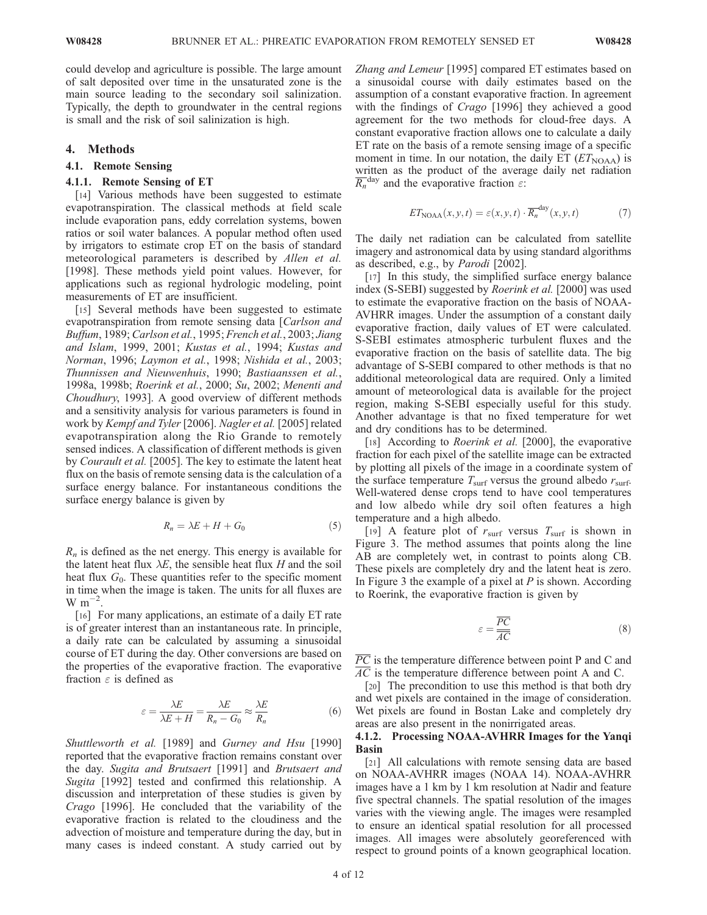could develop and agriculture is possible. The large amount of salt deposited over time in the unsaturated zone is the main source leading to the secondary soil salinization. Typically, the depth to groundwater in the central regions is small and the risk of soil salinization is high.

#### 4. Methods

#### 4.1. Remote Sensing

### 4.1.1. Remote Sensing of ET

[14] Various methods have been suggested to estimate evapotranspiration. The classical methods at field scale include evaporation pans, eddy correlation systems, bowen ratios or soil water balances. A popular method often used by irrigators to estimate crop ET on the basis of standard meteorological parameters is described by Allen et al. [1998]. These methods yield point values. However, for applications such as regional hydrologic modeling, point measurements of ET are insufficient.

[15] Several methods have been suggested to estimate evapotranspiration from remote sensing data [Carlson and Buffum, 1989; Carlson et al., 1995; French et al., 2003; Jiang and Islam, 1999, 2001; Kustas et al., 1994; Kustas and Norman, 1996; Laymon et al., 1998; Nishida et al., 2003; Thunnissen and Nieuwenhuis, 1990; Bastiaanssen et al., 1998a, 1998b; Roerink et al., 2000; Su, 2002; Menenti and Choudhury, 1993]. A good overview of different methods and a sensitivity analysis for various parameters is found in work by Kempf and Tyler [2006]. Nagler et al. [2005] related evapotranspiration along the Rio Grande to remotely sensed indices. A classification of different methods is given by Courault et al. [2005]. The key to estimate the latent heat flux on the basis of remote sensing data is the calculation of a surface energy balance. For instantaneous conditions the surface energy balance is given by

$$
R_n = \lambda E + H + G_0 \tag{5}
$$

 $R_n$  is defined as the net energy. This energy is available for the latent heat flux  $\lambda E$ , the sensible heat flux H and the soil heat flux  $G_0$ . These quantities refer to the specific moment in time when the image is taken. The units for all fluxes are  $\mathrm{W\ m}^{-2}$ .

[16] For many applications, an estimate of a daily ET rate is of greater interest than an instantaneous rate. In principle, a daily rate can be calculated by assuming a sinusoidal course of ET during the day. Other conversions are based on the properties of the evaporative fraction. The evaporative fraction  $\varepsilon$  is defined as

$$
\varepsilon = \frac{\lambda E}{\lambda E + H} = \frac{\lambda E}{R_n - G_0} \approx \frac{\lambda E}{R_n} \tag{6}
$$

Shuttleworth et al. [1989] and Gurney and Hsu [1990] reported that the evaporative fraction remains constant over the day. Sugita and Brutsaert [1991] and Brutsaert and Sugita [1992] tested and confirmed this relationship. A discussion and interpretation of these studies is given by Crago [1996]. He concluded that the variability of the evaporative fraction is related to the cloudiness and the advection of moisture and temperature during the day, but in many cases is indeed constant. A study carried out by

Zhang and Lemeur [1995] compared ET estimates based on a sinusoidal course with daily estimates based on the assumption of a constant evaporative fraction. In agreement with the findings of Crago [1996] they achieved a good agreement for the two methods for cloud-free days. A constant evaporative fraction allows one to calculate a daily ET rate on the basis of a remote sensing image of a specific moment in time. In our notation, the daily ET  $(ET<sub>NOAA</sub>)$  is written as the product of the average daily net radiation  $\overline{R_n}^{\text{day}}$  and the evaporative fraction  $\varepsilon$ :

$$
ETNOAA(x, y, t) = \varepsilon(x, y, t) \cdot \overline{R_n}^{day}(x, y, t)
$$
 (7)

The daily net radiation can be calculated from satellite imagery and astronomical data by using standard algorithms as described, e.g., by Parodi [2002].

[17] In this study, the simplified surface energy balance index (S-SEBI) suggested by Roerink et al. [2000] was used to estimate the evaporative fraction on the basis of NOAA-AVHRR images. Under the assumption of a constant daily evaporative fraction, daily values of ET were calculated. S-SEBI estimates atmospheric turbulent fluxes and the evaporative fraction on the basis of satellite data. The big advantage of S-SEBI compared to other methods is that no additional meteorological data are required. Only a limited amount of meteorological data is available for the project region, making S-SEBI especially useful for this study. Another advantage is that no fixed temperature for wet and dry conditions has to be determined.

[18] According to *Roerink et al.* [2000], the evaporative fraction for each pixel of the satellite image can be extracted by plotting all pixels of the image in a coordinate system of the surface temperature  $T_{\text{surf}}$  versus the ground albedo  $r_{\text{surf}}$ . Well-watered dense crops tend to have cool temperatures and low albedo while dry soil often features a high temperature and a high albedo.

[19] A feature plot of  $r_{\text{surf}}$  versus  $T_{\text{surf}}$  is shown in Figure 3. The method assumes that points along the line AB are completely wet, in contrast to points along CB. These pixels are completely dry and the latent heat is zero. In Figure 3 the example of a pixel at  $P$  is shown. According to Roerink, the evaporative fraction is given by

$$
\varepsilon = \frac{\overline{PC}}{\overline{AC}}\tag{8}
$$

 $\overline{PC}$  is the temperature difference between point P and C and  $\overline{AC}$  is the temperature difference between point A and C.

[20] The precondition to use this method is that both dry and wet pixels are contained in the image of consideration. Wet pixels are found in Bostan Lake and completely dry areas are also present in the nonirrigated areas.

# 4.1.2. Processing NOAA-AVHRR Images for the Yanqi Basin

[21] All calculations with remote sensing data are based on NOAA-AVHRR images (NOAA 14). NOAA-AVHRR images have a 1 km by 1 km resolution at Nadir and feature five spectral channels. The spatial resolution of the images varies with the viewing angle. The images were resampled to ensure an identical spatial resolution for all processed images. All images were absolutely georeferenced with respect to ground points of a known geographical location.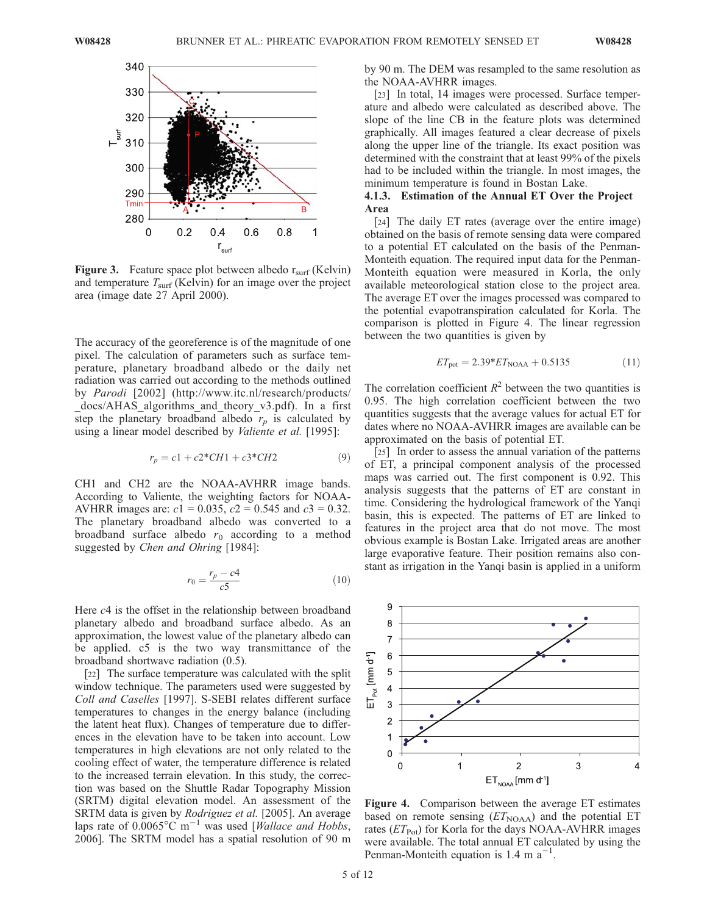

**Figure 3.** Feature space plot between albedo  $r_{\text{surf}}$  (Kelvin) and temperature  $T<sub>surf</sub>$  (Kelvin) for an image over the project area (image date 27 April 2000).

The accuracy of the georeference is of the magnitude of one pixel. The calculation of parameters such as surface temperature, planetary broadband albedo or the daily net radiation was carried out according to the methods outlined by Parodi [2002] (http://www.itc.nl/research/products/ \_docs/AHAS\_algorithms\_and\_theory\_v3.pdf). In a first step the planetary broadband albedo  $r_p$  is calculated by using a linear model described by Valiente et al. [1995]:

$$
r_p = c1 + c2 \cdot CH1 + c3 \cdot CH2 \tag{9}
$$

CH1 and CH2 are the NOAA-AVHRR image bands. According to Valiente, the weighting factors for NOAA-AVHRR images are:  $c1 = 0.035$ ,  $c2 = 0.545$  and  $c3 = 0.32$ . The planetary broadband albedo was converted to a broadband surface albedo  $r_0$  according to a method suggested by Chen and Ohring [1984]:

$$
r_0 = \frac{r_p - c4}{c5} \tag{10}
$$

Here c4 is the offset in the relationship between broadband planetary albedo and broadband surface albedo. As an approximation, the lowest value of the planetary albedo can be applied. c5 is the two way transmittance of the broadband shortwave radiation (0.5).

[22] The surface temperature was calculated with the split window technique. The parameters used were suggested by Coll and Caselles [1997]. S-SEBI relates different surface temperatures to changes in the energy balance (including the latent heat flux). Changes of temperature due to differences in the elevation have to be taken into account. Low temperatures in high elevations are not only related to the cooling effect of water, the temperature difference is related to the increased terrain elevation. In this study, the correction was based on the Shuttle Radar Topography Mission (SRTM) digital elevation model. An assessment of the SRTM data is given by Rodriguez et al. [2005]. An average laps rate of  $0.0065^{\circ}$ C m<sup>-1</sup> was used [*Wallace and Hobbs*, 2006]. The SRTM model has a spatial resolution of 90 m

by 90 m. The DEM was resampled to the same resolution as the NOAA-AVHRR images.

[23] In total, 14 images were processed. Surface temperature and albedo were calculated as described above. The slope of the line CB in the feature plots was determined graphically. All images featured a clear decrease of pixels along the upper line of the triangle. Its exact position was determined with the constraint that at least 99% of the pixels had to be included within the triangle. In most images, the minimum temperature is found in Bostan Lake.

# 4.1.3. Estimation of the Annual ET Over the Project Area

[24] The daily ET rates (average over the entire image) obtained on the basis of remote sensing data were compared to a potential ET calculated on the basis of the Penman-Monteith equation. The required input data for the Penman-Monteith equation were measured in Korla, the only available meteorological station close to the project area. The average ET over the images processed was compared to the potential evapotranspiration calculated for Korla. The comparison is plotted in Figure 4. The linear regression between the two quantities is given by

$$
ET_{\text{pot}} = 2.39 \, \text{*} ET_{\text{NOAA}} + 0.5135 \tag{11}
$$

The correlation coefficient  $R^2$  between the two quantities is 0.95. The high correlation coefficient between the two quantities suggests that the average values for actual ET for dates where no NOAA-AVHRR images are available can be approximated on the basis of potential ET.

[25] In order to assess the annual variation of the patterns of ET, a principal component analysis of the processed maps was carried out. The first component is 0.92. This analysis suggests that the patterns of ET are constant in time. Considering the hydrological framework of the Yanqi basin, this is expected. The patterns of ET are linked to features in the project area that do not move. The most obvious example is Bostan Lake. Irrigated areas are another large evaporative feature. Their position remains also constant as irrigation in the Yanqi basin is applied in a uniform



Figure 4. Comparison between the average ET estimates based on remote sensing  $(ET_{NOAA})$  and the potential ET rates ( $ET_{\text{Pot}}$ ) for Korla for the days NOAA-AVHRR images were available. The total annual ET calculated by using the Penman-Monteith equation is 1.4 m  $a^{-1}$ .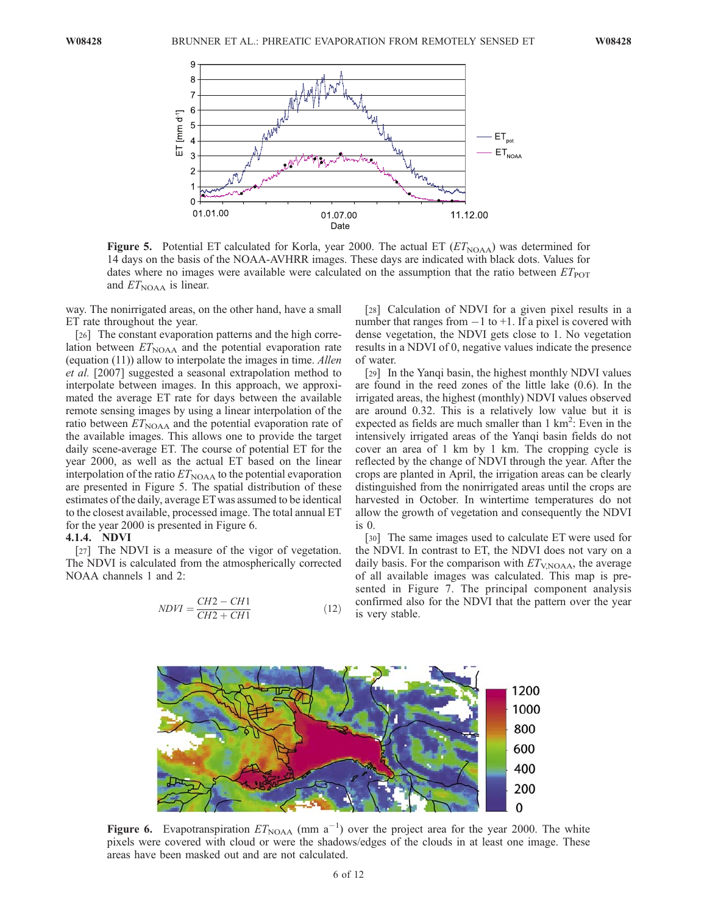

Figure 5. Potential ET calculated for Korla, year 2000. The actual ET  $(ET<sub>NOAA</sub>)$  was determined for 14 days on the basis of the NOAA-AVHRR images. These days are indicated with black dots. Values for dates where no images were available were calculated on the assumption that the ratio between  $ET_{\text{POT}}$ and  $ET_{\text{NOAA}}$  is linear.

way. The nonirrigated areas, on the other hand, have a small ET rate throughout the year.

[26] The constant evaporation patterns and the high correlation between  $ET_{\text{NOAA}}$  and the potential evaporation rate (equation (11)) allow to interpolate the images in time. Allen et al. [2007] suggested a seasonal extrapolation method to interpolate between images. In this approach, we approximated the average ET rate for days between the available remote sensing images by using a linear interpolation of the ratio between  $ET_{\rm NOAA}$  and the potential evaporation rate of the available images. This allows one to provide the target daily scene-average ET. The course of potential ET for the year 2000, as well as the actual ET based on the linear interpolation of the ratio  $ET_{\rm NOAA}$  to the potential evaporation are presented in Figure 5. The spatial distribution of these estimates of the daily, average ETwas assumed to be identical to the closest available, processed image. The total annual ET for the year 2000 is presented in Figure 6.

#### 4.1.4. NDVI

[27] The NDVI is a measure of the vigor of vegetation. The NDVI is calculated from the atmospherically corrected NOAA channels 1 and 2:

$$
NDVI = \frac{CH2 - CH1}{CH2 + CH1} \tag{12}
$$

[28] Calculation of NDVI for a given pixel results in a number that ranges from  $-1$  to  $+1$ . If a pixel is covered with dense vegetation, the NDVI gets close to 1. No vegetation results in a NDVI of 0, negative values indicate the presence of water.

[29] In the Yanqi basin, the highest monthly NDVI values are found in the reed zones of the little lake (0.6). In the irrigated areas, the highest (monthly) NDVI values observed are around 0.32. This is a relatively low value but it is expected as fields are much smaller than  $1 \text{ km}^2$ : Even in the intensively irrigated areas of the Yanqi basin fields do not cover an area of 1 km by 1 km. The cropping cycle is reflected by the change of NDVI through the year. After the crops are planted in April, the irrigation areas can be clearly distinguished from the nonirrigated areas until the crops are harvested in October. In wintertime temperatures do not allow the growth of vegetation and consequently the NDVI is 0.

[30] The same images used to calculate ET were used for the NDVI. In contrast to ET, the NDVI does not vary on a daily basis. For the comparison with  $ET<sub>V,NOAA</sub>$ , the average of all available images was calculated. This map is presented in Figure 7. The principal component analysis confirmed also for the NDVI that the pattern over the year is very stable.



Figure 6. Evapotranspiration  $ET_{\text{NOAA}}$  (mm a<sup>-1</sup>) over the project area for the year 2000. The white pixels were covered with cloud or were the shadows/edges of the clouds in at least one image. These areas have been masked out and are not calculated.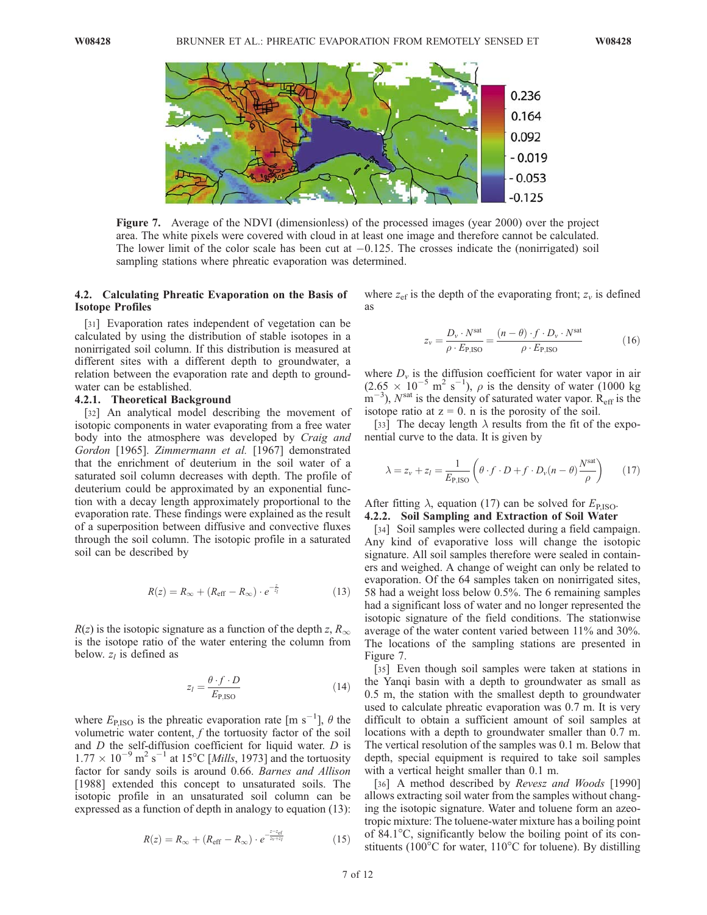

Figure 7. Average of the NDVI (dimensionless) of the processed images (year 2000) over the project area. The white pixels were covered with cloud in at least one image and therefore cannot be calculated. The lower limit of the color scale has been cut at  $-0.125$ . The crosses indicate the (nonirrigated) soil sampling stations where phreatic evaporation was determined.

# 4.2. Calculating Phreatic Evaporation on the Basis of Isotope Profiles

[31] Evaporation rates independent of vegetation can be calculated by using the distribution of stable isotopes in a nonirrigated soil column. If this distribution is measured at different sites with a different depth to groundwater, a relation between the evaporation rate and depth to groundwater can be established.

#### 4.2.1. Theoretical Background

[32] An analytical model describing the movement of isotopic components in water evaporating from a free water body into the atmosphere was developed by Craig and Gordon [1965]. Zimmermann et al. [1967] demonstrated that the enrichment of deuterium in the soil water of a saturated soil column decreases with depth. The profile of deuterium could be approximated by an exponential function with a decay length approximately proportional to the evaporation rate. These findings were explained as the result of a superposition between diffusive and convective fluxes through the soil column. The isotopic profile in a saturated soil can be described by

$$
R(z) = R_{\infty} + (R_{\text{eff}} - R_{\infty}) \cdot e^{-\frac{z}{z_l}}
$$
 (13)

 $R(z)$  is the isotopic signature as a function of the depth z,  $R_{\infty}$ is the isotope ratio of the water entering the column from below.  $z_l$  is defined as

$$
z_l = \frac{\theta \cdot f \cdot D}{E_{\text{P,ISO}}} \tag{14}
$$

where  $E_{\text{P,ISO}}$  is the phreatic evaporation rate [m s<sup>-1</sup>],  $\theta$  the volumetric water content,  $f$  the tortuosity factor of the soil and D the self-diffusion coefficient for liquid water. D is  $1.77 \times 10^{-9}$  m<sup>2</sup> s<sup>-1</sup> at 15<sup>o</sup>C [*Mills*, 1973] and the tortuosity factor for sandy soils is around 0.66. Barnes and Allison [1988] extended this concept to unsaturated soils. The isotopic profile in an unsaturated soil column can be expressed as a function of depth in analogy to equation (13):

$$
R(z) = R_{\infty} + (R_{\text{eff}} - R_{\infty}) \cdot e^{-\frac{z - z_{\text{eff}}}{z_v + z_l}}
$$
(15)

where  $z_{\rm ef}$  is the depth of the evaporating front;  $z_{\rm v}$  is defined as

$$
z_{\nu} = \frac{D_{\nu} \cdot N^{\text{sat}}}{\rho \cdot E_{\text{P,ISO}}} = \frac{(n - \theta) \cdot f \cdot D_{\nu} \cdot N^{\text{sat}}}{\rho \cdot E_{\text{P,ISO}}} \tag{16}
$$

where  $D_{\nu}$  is the diffusion coefficient for water vapor in air  $(2.65 \times 10^{-5} \text{ m}^2 \text{ s}^{-1})$ ,  $\rho$  is the density of water (1000 kg)  $(m^{-3})$ ,  $N<sup>sat</sup>$  is the density of saturated water vapor. R<sub>eff</sub> is the isotope ratio at  $z = 0$ . n is the porosity of the soil.

[33] The decay length  $\lambda$  results from the fit of the exponential curve to the data. It is given by

$$
\lambda = z_v + z_l = \frac{1}{E_{P,\text{ISO}}} \left( \theta \cdot f \cdot D + f \cdot D_v (n - \theta) \frac{N^{\text{sat}}}{\rho} \right) \tag{17}
$$

After fitting  $\lambda$ , equation (17) can be solved for  $E_{\text{PISO}}$ . 4.2.2. Soil Sampling and Extraction of Soil Water

[34] Soil samples were collected during a field campaign. Any kind of evaporative loss will change the isotopic signature. All soil samples therefore were sealed in containers and weighed. A change of weight can only be related to evaporation. Of the 64 samples taken on nonirrigated sites, 58 had a weight loss below 0.5%. The 6 remaining samples had a significant loss of water and no longer represented the isotopic signature of the field conditions. The stationwise average of the water content varied between 11% and 30%. The locations of the sampling stations are presented in Figure 7.

[35] Even though soil samples were taken at stations in the Yanqi basin with a depth to groundwater as small as 0.5 m, the station with the smallest depth to groundwater used to calculate phreatic evaporation was 0.7 m. It is very difficult to obtain a sufficient amount of soil samples at locations with a depth to groundwater smaller than 0.7 m. The vertical resolution of the samples was 0.1 m. Below that depth, special equipment is required to take soil samples with a vertical height smaller than 0.1 m.

[36] A method described by Revesz and Woods [1990] allows extracting soil water from the samples without changing the isotopic signature. Water and toluene form an azeotropic mixture: The toluene-water mixture has a boiling point of  $84.1^{\circ}$ C, significantly below the boiling point of its constituents (100 $^{\circ}$ C for water, 110 $^{\circ}$ C for toluene). By distilling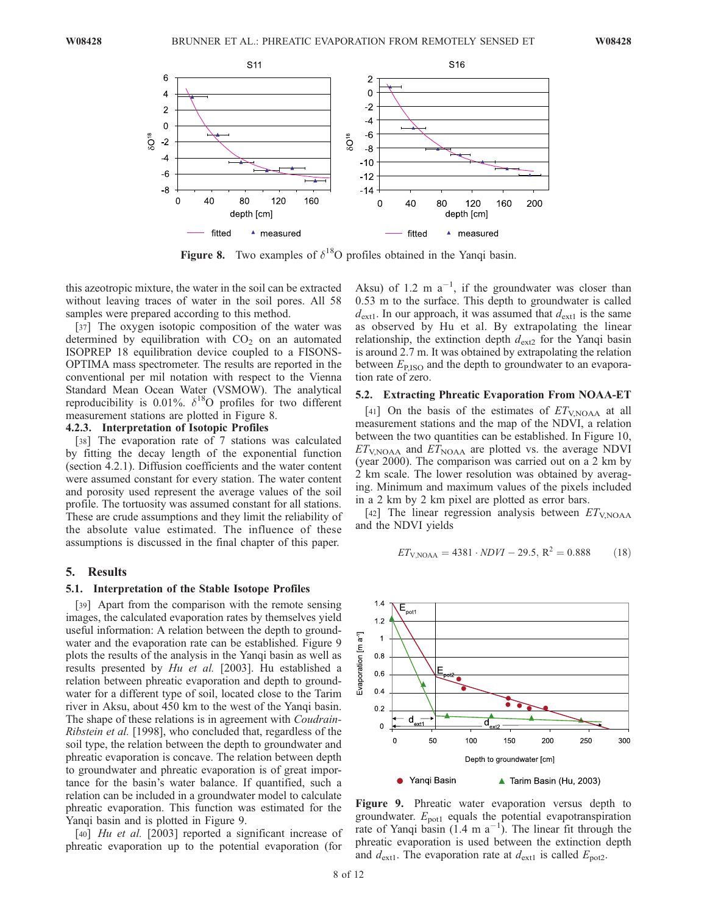

**Figure 8.** Two examples of  $\delta^{18}$ O profiles obtained in the Yanqi basin.

this azeotropic mixture, the water in the soil can be extracted without leaving traces of water in the soil pores. All 58 samples were prepared according to this method.

[37] The oxygen isotopic composition of the water was determined by equilibration with  $CO<sub>2</sub>$  on an automated ISOPREP 18 equilibration device coupled to a FISONS-OPTIMA mass spectrometer. The results are reported in the conventional per mil notation with respect to the Vienna Standard Mean Ocean Water (VSMOW). The analytical reproducibility is 0.01%.  $\delta^{18}$ O profiles for two different measurement stations are plotted in Figure 8.

#### 4.2.3. Interpretation of Isotopic Profiles

[38] The evaporation rate of 7 stations was calculated by fitting the decay length of the exponential function (section 4.2.1). Diffusion coefficients and the water content were assumed constant for every station. The water content and porosity used represent the average values of the soil profile. The tortuosity was assumed constant for all stations. These are crude assumptions and they limit the reliability of the absolute value estimated. The influence of these assumptions is discussed in the final chapter of this paper.

## 5. Results

#### 5.1. Interpretation of the Stable Isotope Profiles

[39] Apart from the comparison with the remote sensing images, the calculated evaporation rates by themselves yield useful information: A relation between the depth to groundwater and the evaporation rate can be established. Figure 9 plots the results of the analysis in the Yanqi basin as well as results presented by Hu et al. [2003]. Hu established a relation between phreatic evaporation and depth to groundwater for a different type of soil, located close to the Tarim river in Aksu, about 450 km to the west of the Yanqi basin. The shape of these relations is in agreement with *Coudrain*-Ribstein et al. [1998], who concluded that, regardless of the soil type, the relation between the depth to groundwater and phreatic evaporation is concave. The relation between depth to groundwater and phreatic evaporation is of great importance for the basin's water balance. If quantified, such a relation can be included in a groundwater model to calculate phreatic evaporation. This function was estimated for the Yanqi basin and is plotted in Figure 9.

[40] *Hu et al.* [2003] reported a significant increase of phreatic evaporation up to the potential evaporation (for

Aksu) of 1.2 m  $a^{-1}$ , if the groundwater was closer than 0.53 m to the surface. This depth to groundwater is called  $d_{\text{ext1}}$ . In our approach, it was assumed that  $d_{\text{ext1}}$  is the same as observed by Hu et al. By extrapolating the linear relationship, the extinction depth  $d_{ext2}$  for the Yanqi basin is around 2.7 m. It was obtained by extrapolating the relation between  $E_{P,ISO}$  and the depth to groundwater to an evaporation rate of zero.

#### 5.2. Extracting Phreatic Evaporation From NOAA-ET

[41] On the basis of the estimates of  $ET<sub>V,NOAA</sub>$  at all measurement stations and the map of the NDVI, a relation between the two quantities can be established. In Figure 10,  $ET<sub>VNOAA</sub>$  and  $ET<sub>NOAA</sub>$  are plotted vs. the average NDVI (year 2000). The comparison was carried out on a 2 km by 2 km scale. The lower resolution was obtained by averaging. Minimum and maximum values of the pixels included in a 2 km by 2 km pixel are plotted as error bars.

[42] The linear regression analysis between  $ET<sub>VNOAA</sub>$ and the NDVI yields

$$
ETV,NOAA = 4381 \cdot NDVI - 29.5, R2 = 0.888 \tag{18}
$$



**Figure 9.** Phreatic water evaporation versus depth to groundwater.  $E_{pot1}$  equals the potential evapotranspiration rate of Yanqi basin  $(1.4 \text{ m a}^{-1})$ . The linear fit through the phreatic evaporation is used between the extinction depth and  $d_{\text{ext1}}$ . The evaporation rate at  $d_{\text{ext1}}$  is called  $E_{\text{pot2}}$ .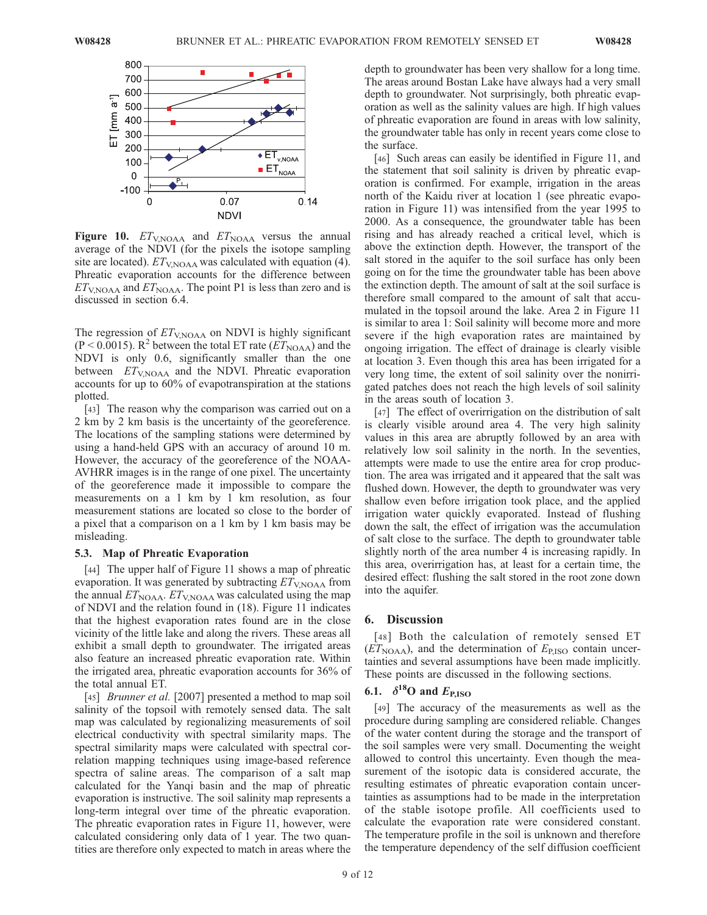

**Figure 10.**  $ET_{V,NOAA}$  and  $ET_{NOAA}$  versus the annual average of the NDVI (for the pixels the isotope sampling site are located).  $ET_{V,NOAA}$  was calculated with equation (4). Phreatic evaporation accounts for the difference between  $ET<sub>V,NOAA</sub>$  and  $ET<sub>NOAA</sub>$ . The point P1 is less than zero and is discussed in section 6.4.

The regression of  $ET_{V,NOAA}$  on NDVI is highly significant  $(P < 0.0015)$ . R<sup>2</sup> between the total ET rate  $ET<sub>NOAA</sub>$  and the NDVI is only 0.6, significantly smaller than the one between  $ET<sub>V,NOAA</sub>$  and the NDVI. Phreatic evaporation accounts for up to 60% of evapotranspiration at the stations plotted.

[43] The reason why the comparison was carried out on a 2 km by 2 km basis is the uncertainty of the georeference. The locations of the sampling stations were determined by using a hand-held GPS with an accuracy of around 10 m. However, the accuracy of the georeference of the NOAA-AVHRR images is in the range of one pixel. The uncertainty of the georeference made it impossible to compare the measurements on a 1 km by 1 km resolution, as four measurement stations are located so close to the border of a pixel that a comparison on a 1 km by 1 km basis may be misleading.

#### 5.3. Map of Phreatic Evaporation

[44] The upper half of Figure 11 shows a map of phreatic evaporation. It was generated by subtracting  $ET<sub>V,NOAA</sub>$  from the annual  $ET_{\text{NOAA}}$ .  $ET_{\text{V,NOAA}}$  was calculated using the map of NDVI and the relation found in (18). Figure 11 indicates that the highest evaporation rates found are in the close vicinity of the little lake and along the rivers. These areas all exhibit a small depth to groundwater. The irrigated areas also feature an increased phreatic evaporation rate. Within the irrigated area, phreatic evaporation accounts for 36% of the total annual ET.

[45] *Brunner et al.* [2007] presented a method to map soil salinity of the topsoil with remotely sensed data. The salt map was calculated by regionalizing measurements of soil electrical conductivity with spectral similarity maps. The spectral similarity maps were calculated with spectral correlation mapping techniques using image-based reference spectra of saline areas. The comparison of a salt map calculated for the Yanqi basin and the map of phreatic evaporation is instructive. The soil salinity map represents a long-term integral over time of the phreatic evaporation. The phreatic evaporation rates in Figure 11, however, were calculated considering only data of 1 year. The two quantities are therefore only expected to match in areas where the

depth to groundwater has been very shallow for a long time. The areas around Bostan Lake have always had a very small depth to groundwater. Not surprisingly, both phreatic evaporation as well as the salinity values are high. If high values of phreatic evaporation are found in areas with low salinity, the groundwater table has only in recent years come close to the surface.

[46] Such areas can easily be identified in Figure 11, and the statement that soil salinity is driven by phreatic evaporation is confirmed. For example, irrigation in the areas north of the Kaidu river at location 1 (see phreatic evaporation in Figure 11) was intensified from the year 1995 to 2000. As a consequence, the groundwater table has been rising and has already reached a critical level, which is above the extinction depth. However, the transport of the salt stored in the aquifer to the soil surface has only been going on for the time the groundwater table has been above the extinction depth. The amount of salt at the soil surface is therefore small compared to the amount of salt that accumulated in the topsoil around the lake. Area 2 in Figure 11 is similar to area 1: Soil salinity will become more and more severe if the high evaporation rates are maintained by ongoing irrigation. The effect of drainage is clearly visible at location 3. Even though this area has been irrigated for a very long time, the extent of soil salinity over the nonirrigated patches does not reach the high levels of soil salinity in the areas south of location 3.

[47] The effect of overirrigation on the distribution of salt is clearly visible around area 4. The very high salinity values in this area are abruptly followed by an area with relatively low soil salinity in the north. In the seventies, attempts were made to use the entire area for crop production. The area was irrigated and it appeared that the salt was flushed down. However, the depth to groundwater was very shallow even before irrigation took place, and the applied irrigation water quickly evaporated. Instead of flushing down the salt, the effect of irrigation was the accumulation of salt close to the surface. The depth to groundwater table slightly north of the area number 4 is increasing rapidly. In this area, overirrigation has, at least for a certain time, the desired effect: flushing the salt stored in the root zone down into the aquifer.

#### 6. Discussion

[48] Both the calculation of remotely sensed ET  $(ET_{\text{NOAA}})$ , and the determination of  $E_{\text{PISO}}$  contain uncertainties and several assumptions have been made implicitly. These points are discussed in the following sections.

# 6.1.  $\delta^{18}$ O and  $E_{P,ISO}$

[49] The accuracy of the measurements as well as the procedure during sampling are considered reliable. Changes of the water content during the storage and the transport of the soil samples were very small. Documenting the weight allowed to control this uncertainty. Even though the measurement of the isotopic data is considered accurate, the resulting estimates of phreatic evaporation contain uncertainties as assumptions had to be made in the interpretation of the stable isotope profile. All coefficients used to calculate the evaporation rate were considered constant. The temperature profile in the soil is unknown and therefore the temperature dependency of the self diffusion coefficient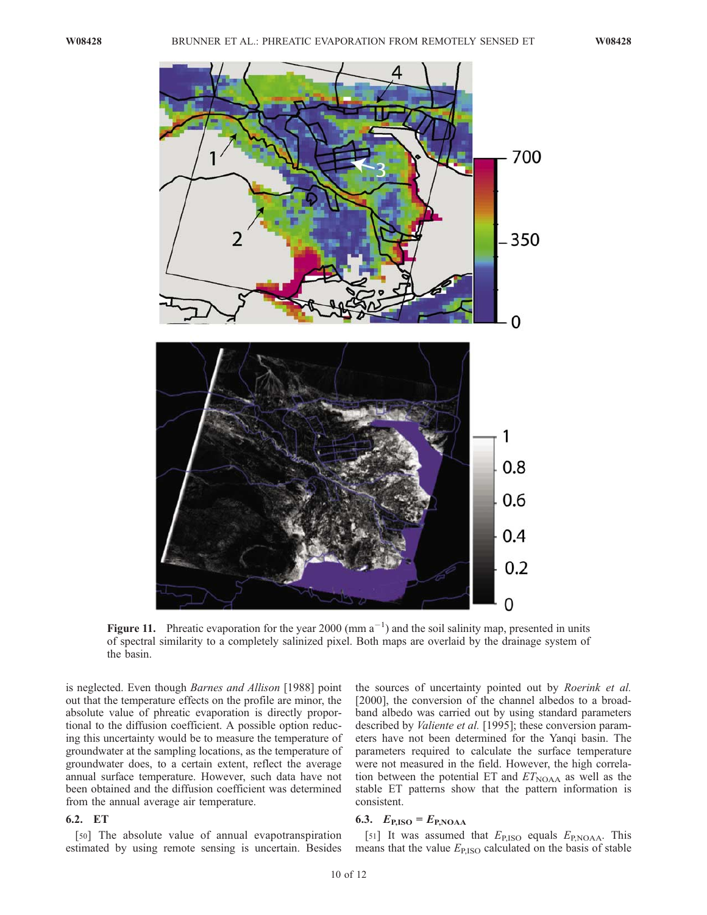

Figure 11. Phreatic evaporation for the year 2000 (mm  $a^{-1}$ ) and the soil salinity map, presented in units of spectral similarity to a completely salinized pixel. Both maps are overlaid by the drainage system of the basin.

is neglected. Even though Barnes and Allison [1988] point out that the temperature effects on the profile are minor, the absolute value of phreatic evaporation is directly proportional to the diffusion coefficient. A possible option reducing this uncertainty would be to measure the temperature of groundwater at the sampling locations, as the temperature of groundwater does, to a certain extent, reflect the average annual surface temperature. However, such data have not been obtained and the diffusion coefficient was determined from the annual average air temperature.

#### 6.2. ET

[50] The absolute value of annual evapotranspiration estimated by using remote sensing is uncertain. Besides the sources of uncertainty pointed out by Roerink et al. [2000], the conversion of the channel albedos to a broadband albedo was carried out by using standard parameters described by *Valiente et al.* [1995]; these conversion parameters have not been determined for the Yanqi basin. The parameters required to calculate the surface temperature were not measured in the field. However, the high correlation between the potential ET and  $ET_{\rm NOAA}$  as well as the stable ET patterns show that the pattern information is consistent.

# 6.3.  $E_{\text{P,ISO}} = E_{\text{P,NOAA}}$

[51] It was assumed that  $E_{\text{P,ISO}}$  equals  $E_{\text{P,NOAA}}$ . This means that the value  $E_{\rm P,ISO}$  calculated on the basis of stable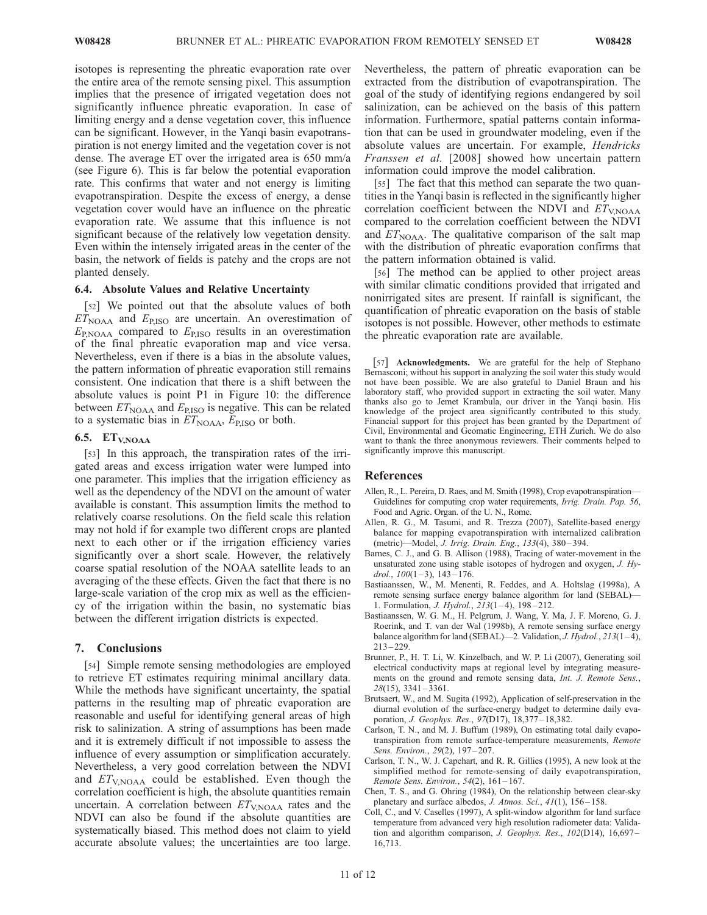isotopes is representing the phreatic evaporation rate over the entire area of the remote sensing pixel. This assumption implies that the presence of irrigated vegetation does not significantly influence phreatic evaporation. In case of limiting energy and a dense vegetation cover, this influence can be significant. However, in the Yanqi basin evapotranspiration is not energy limited and the vegetation cover is not dense. The average ET over the irrigated area is 650 mm/a (see Figure 6). This is far below the potential evaporation rate. This confirms that water and not energy is limiting evapotranspiration. Despite the excess of energy, a dense vegetation cover would have an influence on the phreatic evaporation rate. We assume that this influence is not significant because of the relatively low vegetation density. Even within the intensely irrigated areas in the center of the basin, the network of fields is patchy and the crops are not planted densely.

#### 6.4. Absolute Values and Relative Uncertainty

[52] We pointed out that the absolute values of both  $ET_{\text{NOAA}}$  and  $E_{\text{PISO}}$  are uncertain. An overestimation of  $E_{P,NOAA}$  compared to  $E_{P,ISO}$  results in an overestimation of the final phreatic evaporation map and vice versa. Nevertheless, even if there is a bias in the absolute values, the pattern information of phreatic evaporation still remains consistent. One indication that there is a shift between the absolute values is point P1 in Figure 10: the difference between  $ET_{\rm NOAA}$  and  $E_{\rm PISO}$  is negative. This can be related to a systematic bias in  $ET_{NOAA}$ ,  $E_{PISO}$  or both.

# 6.5.  $ET<sub>V,NOAA</sub>$

[53] In this approach, the transpiration rates of the irrigated areas and excess irrigation water were lumped into one parameter. This implies that the irrigation efficiency as well as the dependency of the NDVI on the amount of water available is constant. This assumption limits the method to relatively coarse resolutions. On the field scale this relation may not hold if for example two different crops are planted next to each other or if the irrigation efficiency varies significantly over a short scale. However, the relatively coarse spatial resolution of the NOAA satellite leads to an averaging of the these effects. Given the fact that there is no large-scale variation of the crop mix as well as the efficiency of the irrigation within the basin, no systematic bias between the different irrigation districts is expected.

#### 7. Conclusions

[54] Simple remote sensing methodologies are employed to retrieve ET estimates requiring minimal ancillary data. While the methods have significant uncertainty, the spatial patterns in the resulting map of phreatic evaporation are reasonable and useful for identifying general areas of high risk to salinization. A string of assumptions has been made and it is extremely difficult if not impossible to assess the influence of every assumption or simplification accurately. Nevertheless, a very good correlation between the NDVI and  $ET<sub>V,NOAA</sub>$  could be established. Even though the correlation coefficient is high, the absolute quantities remain uncertain. A correlation between  $ET_{V,NOAA}$  rates and the NDVI can also be found if the absolute quantities are systematically biased. This method does not claim to yield accurate absolute values; the uncertainties are too large. Nevertheless, the pattern of phreatic evaporation can be extracted from the distribution of evapotranspiration. The goal of the study of identifying regions endangered by soil salinization, can be achieved on the basis of this pattern information. Furthermore, spatial patterns contain information that can be used in groundwater modeling, even if the absolute values are uncertain. For example, *Hendricks* Franssen et al. [2008] showed how uncertain pattern information could improve the model calibration.

[55] The fact that this method can separate the two quantities in the Yanqi basin is reflected in the significantly higher correlation coefficient between the NDVI and  $ET<sub>V,NOAA</sub>$ compared to the correlation coefficient between the NDVI and  $ET<sub>NOAA</sub>$ . The qualitative comparison of the salt map with the distribution of phreatic evaporation confirms that the pattern information obtained is valid.

[56] The method can be applied to other project areas with similar climatic conditions provided that irrigated and nonirrigated sites are present. If rainfall is significant, the quantification of phreatic evaporation on the basis of stable isotopes is not possible. However, other methods to estimate the phreatic evaporation rate are available.

[57] Acknowledgments. We are grateful for the help of Stephano Bernasconi; without his support in analyzing the soil water this study would not have been possible. We are also grateful to Daniel Braun and his laboratory staff, who provided support in extracting the soil water. Many thanks also go to Jemet Krambula, our driver in the Yanqi basin. His knowledge of the project area significantly contributed to this study. Financial support for this project has been granted by the Department of Civil, Environmental and Geomatic Engineering, ETH Zurich. We do also want to thank the three anonymous reviewers. Their comments helped to significantly improve this manuscript.

# References

- Allen, R., L. Pereira, D. Raes, and M. Smith (1998), Crop evapotranspiration— Guidelines for computing crop water requirements, Irrig. Drain. Pap. 56, Food and Agric. Organ. of the U. N., Rome.
- Allen, R. G., M. Tasumi, and R. Trezza (2007), Satellite-based energy balance for mapping evapotranspiration with internalized calibration (metric)—Model, *J. Irrig. Drain. Eng.*, 133(4), 380-394.
- Barnes, C. J., and G. B. Allison (1988), Tracing of water-movement in the unsaturated zone using stable isotopes of hydrogen and oxygen, J. Hydrol.,  $100(1-3)$ ,  $143-176$ .
- Bastiaanssen, W., M. Menenti, R. Feddes, and A. Holtslag (1998a), A remote sensing surface energy balance algorithm for land (SEBAL)— 1. Formulation, *J. Hydrol.*, 213(1-4), 198-212.
- Bastiaanssen, W. G. M., H. Pelgrum, J. Wang, Y. Ma, J. F. Moreno, G. J. Roerink, and T. van der Wal (1998b), A remote sensing surface energy balance algorithm for land (SEBAL)—2. Validation, J. Hydrol., 213(1-4),  $213 - 229.$
- Brunner, P., H. T. Li, W. Kinzelbach, and W. P. Li (2007), Generating soil electrical conductivity maps at regional level by integrating measurements on the ground and remote sensing data, Int. J. Remote Sens., 28(15), 3341 – 3361.
- Brutsaert, W., and M. Sugita (1992), Application of self-preservation in the diurnal evolution of the surface-energy budget to determine daily evaporation, *J. Geophys. Res.*, 97(D17), 18,377-18,382.
- Carlson, T. N., and M. J. Buffum (1989), On estimating total daily evapotranspiration from remote surface-temperature measurements, Remote Sens. Environ., 29(2), 197-207.
- Carlson, T. N., W. J. Capehart, and R. R. Gillies (1995), A new look at the simplified method for remote-sensing of daily evapotranspiration, Remote Sens. Environ., 54(2), 161 – 167.
- Chen, T. S., and G. Ohring (1984), On the relationship between clear-sky planetary and surface albedos, J. Atmos. Sci., 41(1), 156-158.
- Coll, C., and V. Caselles (1997), A split-window algorithm for land surface temperature from advanced very high resolution radiometer data: Validation and algorithm comparison, J. Geophys. Res., 102(D14), 16,697-16,713.